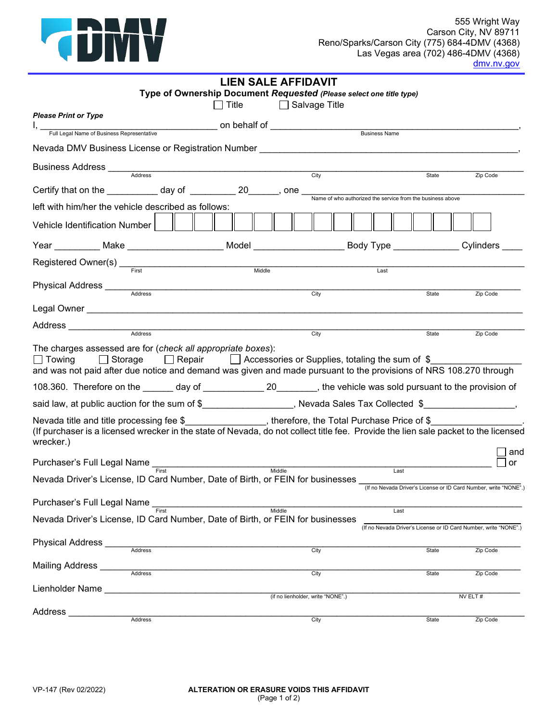

| LIEN SALE AFFIDAVIT                                                                                                                                                                                                                       |                                                                     |                                                                          |          |  |  |  |
|-------------------------------------------------------------------------------------------------------------------------------------------------------------------------------------------------------------------------------------------|---------------------------------------------------------------------|--------------------------------------------------------------------------|----------|--|--|--|
|                                                                                                                                                                                                                                           | Type of Ownership Document Requested (Please select one title type) |                                                                          |          |  |  |  |
| $\Box$ Title<br><b>Please Print or Type</b>                                                                                                                                                                                               | □ Salvage Title                                                     |                                                                          |          |  |  |  |
|                                                                                                                                                                                                                                           |                                                                     |                                                                          |          |  |  |  |
| Nevada DMV Business License or Registration Number _____________________________                                                                                                                                                          |                                                                     |                                                                          |          |  |  |  |
|                                                                                                                                                                                                                                           | $\overline{City}$                                                   | State                                                                    | Zip Code |  |  |  |
| Certify that on the <u>subsequently</u> day of <u>entiting</u> 20 __________, one <u>Name of who authorized the service from the business above</u>                                                                                       |                                                                     |                                                                          |          |  |  |  |
| left with him/her the vehicle described as follows:                                                                                                                                                                                       |                                                                     |                                                                          |          |  |  |  |
| Vehicle Identification Number                                                                                                                                                                                                             |                                                                     |                                                                          |          |  |  |  |
| Year ___________ Make ____________________ Model __________________ Body Type ______________Cylinders ____                                                                                                                                |                                                                     |                                                                          |          |  |  |  |
|                                                                                                                                                                                                                                           |                                                                     | Last                                                                     |          |  |  |  |
|                                                                                                                                                                                                                                           |                                                                     |                                                                          |          |  |  |  |
|                                                                                                                                                                                                                                           | City                                                                | State                                                                    | Zip Code |  |  |  |
|                                                                                                                                                                                                                                           |                                                                     |                                                                          |          |  |  |  |
| Address Address Address Address Address Address Address Address Address Address Address Address Address Address Address Address Address Address Address Address Address Address Address Address Address Address Address Addres            | City                                                                | State                                                                    | Zip Code |  |  |  |
| The charges assessed are for (check all appropriate boxes):<br>$\vert$ Towing<br>$\Box$ Storage<br>and was not paid after due notice and demand was given and made pursuant to the provisions of NRS 108.270 through                      | □ Repair □ Accessories or Supplies, totaling the sum of \$          |                                                                          |          |  |  |  |
| 108.360. Therefore on the ______ day of _______________________________, the vehicle was sold pursuant to the provision of                                                                                                                |                                                                     |                                                                          |          |  |  |  |
| said law, at public auction for the sum of \$__________________, Nevada Sales Tax Collected \$_______________,                                                                                                                            |                                                                     |                                                                          |          |  |  |  |
| Nevada title and title processing fee $$$ , therefore, the Total Purchase Price of $$$<br>(If purchaser is a licensed wrecker in the state of Nevada, do not collect title fee. Provide the lien sale packet to the licensed<br>wrecker.) |                                                                     |                                                                          | and      |  |  |  |
| Purchaser's Full Legal Name First                                                                                                                                                                                                         | Middle                                                              |                                                                          | or       |  |  |  |
| Nevada Driver's License, ID Card Number, Date of Birth, or FEIN for businesses                                                                                                                                                            |                                                                     | Last<br>(If no Nevada Driver's License or ID Card Number, write "NONE".) |          |  |  |  |
| Purchaser's Full Legal Name                                                                                                                                                                                                               |                                                                     |                                                                          |          |  |  |  |
| Nevada Driver's License, ID Card Number, Date of Birth, or FEIN for businesses                                                                                                                                                            | Middle                                                              | Last<br>(If no Nevada Driver's License or ID Card Number, write "NONE".) |          |  |  |  |
| Physical Address _<br><b>Address</b>                                                                                                                                                                                                      | City                                                                | State                                                                    | Zip Code |  |  |  |
| <b>Mailing Address</b><br>Address                                                                                                                                                                                                         | City                                                                | State                                                                    | Zip Code |  |  |  |
| Lienholder Name                                                                                                                                                                                                                           |                                                                     |                                                                          |          |  |  |  |
|                                                                                                                                                                                                                                           | (if no lienholder, write "NONE".)                                   |                                                                          | NV ELT#  |  |  |  |
| Address<br>Address                                                                                                                                                                                                                        | City                                                                | State                                                                    | Zip Code |  |  |  |